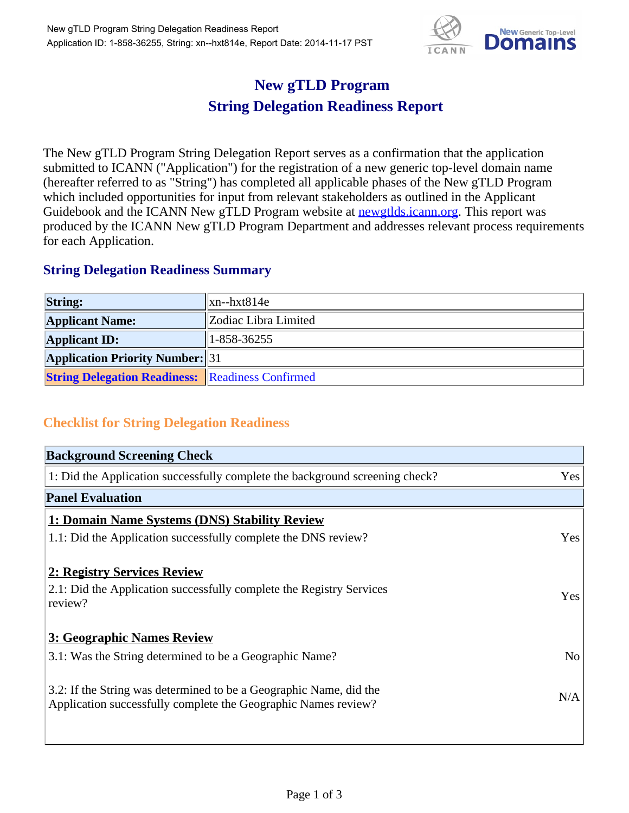

## **New gTLD Program String Delegation Readiness Report**

The New gTLD Program String Delegation Report serves as a confirmation that the application submitted to ICANN ("Application") for the registration of a new generic top-level domain name (hereafter referred to as "String") has completed all applicable phases of the New gTLD Program which included opportunities for input from relevant stakeholders as outlined in the Applicant Guidebook and the ICANN New gTLD Program website at **newgtlds.icann.org**. This report was produced by the ICANN New gTLD Program Department and addresses relevant process requirements for each Application.

## **String Delegation Readiness Summary**

| <b>String:</b>                                          | xn--hxt814e          |
|---------------------------------------------------------|----------------------|
| <b>Applicant Name:</b>                                  | Zodiac Libra Limited |
| <b>Applicant ID:</b>                                    | $1 - 858 - 36255$    |
| <b>Application Priority Number:</b> 31                  |                      |
| <b>String Delegation Readiness: Readiness Confirmed</b> |                      |

## **Checklist for String Delegation Readiness**

| <b>Background Screening Check</b>                                                                                                    |                |  |
|--------------------------------------------------------------------------------------------------------------------------------------|----------------|--|
| 1: Did the Application successfully complete the background screening check?                                                         | Yes            |  |
| <b>Panel Evaluation</b>                                                                                                              |                |  |
| 1: Domain Name Systems (DNS) Stability Review                                                                                        |                |  |
| 1.1: Did the Application successfully complete the DNS review?                                                                       | Yes            |  |
| 2: Registry Services Review                                                                                                          |                |  |
| 2.1: Did the Application successfully complete the Registry Services<br>review?                                                      | Yes            |  |
| 3: Geographic Names Review                                                                                                           |                |  |
| 3.1: Was the String determined to be a Geographic Name?                                                                              | N <sub>o</sub> |  |
| 3.2: If the String was determined to be a Geographic Name, did the<br>Application successfully complete the Geographic Names review? | N/A            |  |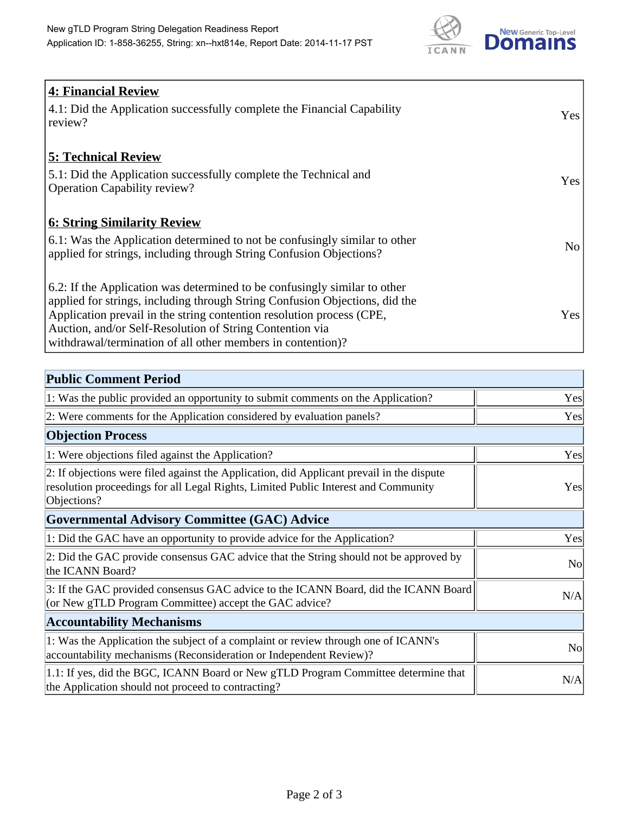

| <b>4: Financial Review</b><br>4.1: Did the Application successfully complete the Financial Capability<br>review?                                                                                                                                                                                                                                             | <b>Yes</b> |
|--------------------------------------------------------------------------------------------------------------------------------------------------------------------------------------------------------------------------------------------------------------------------------------------------------------------------------------------------------------|------------|
| <b>5: Technical Review</b><br>5.1: Did the Application successfully complete the Technical and<br><b>Operation Capability review?</b>                                                                                                                                                                                                                        | <b>Yes</b> |
| <b>6: String Similarity Review</b><br>6.1: Was the Application determined to not be confusingly similar to other<br>applied for strings, including through String Confusion Objections?                                                                                                                                                                      | No         |
| 6.2: If the Application was determined to be confusingly similar to other<br>applied for strings, including through String Confusion Objections, did the<br>Application prevail in the string contention resolution process (CPE,<br>Auction, and/or Self-Resolution of String Contention via<br>withdrawal/termination of all other members in contention)? | Yes        |

| <b>Public Comment Period</b>                                                                                                                                                                   |           |  |
|------------------------------------------------------------------------------------------------------------------------------------------------------------------------------------------------|-----------|--|
| 1: Was the public provided an opportunity to submit comments on the Application?                                                                                                               | Yes       |  |
| 2: Were comments for the Application considered by evaluation panels?                                                                                                                          | Yes       |  |
| <b>Objection Process</b>                                                                                                                                                                       |           |  |
| 1: Were objections filed against the Application?                                                                                                                                              | Yes       |  |
| 2: If objections were filed against the Application, did Applicant prevail in the dispute<br>resolution proceedings for all Legal Rights, Limited Public Interest and Community<br>Objections? | Yes       |  |
| <b>Governmental Advisory Committee (GAC) Advice</b>                                                                                                                                            |           |  |
| 1: Did the GAC have an opportunity to provide advice for the Application?                                                                                                                      | Yes       |  |
| 2: Did the GAC provide consensus GAC advice that the String should not be approved by<br>the ICANN Board?                                                                                      | <b>No</b> |  |
| 3: If the GAC provided consensus GAC advice to the ICANN Board, did the ICANN Board<br>(or New gTLD Program Committee) accept the GAC advice?                                                  | N/A       |  |
| <b>Accountability Mechanisms</b>                                                                                                                                                               |           |  |
| 1: Was the Application the subject of a complaint or review through one of ICANN's<br>accountability mechanisms (Reconsideration or Independent Review)?                                       | <b>No</b> |  |
| 1.1: If yes, did the BGC, ICANN Board or New gTLD Program Committee determine that<br>the Application should not proceed to contracting?                                                       | N/A       |  |